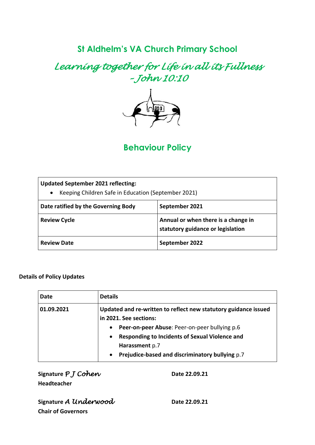# **St Aldhelm's VA Church Primary School**

*Learning together for Life in all its Fullness – John 10:10* 



# **Behaviour Policy**

| <b>Updated September 2021 reflecting:</b><br>Keeping Children Safe in Education (September 2021)<br>$\bullet$ |                                                                          |  |
|---------------------------------------------------------------------------------------------------------------|--------------------------------------------------------------------------|--|
| Date ratified by the Governing Body                                                                           | September 2021                                                           |  |
| <b>Review Cycle</b>                                                                                           | Annual or when there is a change in<br>statutory guidance or legislation |  |
| <b>Review Date</b>                                                                                            | September 2022                                                           |  |

#### **Details of Policy Updates**

| Date       | <b>Details</b>                                                                                                                                                                                                     |  |
|------------|--------------------------------------------------------------------------------------------------------------------------------------------------------------------------------------------------------------------|--|
| 01.09.2021 | Updated and re-written to reflect new statutory guidance issued<br>in 2021. See sections:                                                                                                                          |  |
|            | Peer-on-peer Abuse: Peer-on-peer bullying p.6<br>$\bullet$<br><b>Responding to Incidents of Sexual Violence and</b><br>$\bullet$<br>Harassment p.7<br>Prejudice-based and discriminatory bullying p.7<br>$\bullet$ |  |

| Signature $P$ $J$ Cohen |
|-------------------------|
| <b>Headteacher</b>      |

**Signature** *P J Cohen* **Date 22.09.21**

**Signature** *A* **Underwood Date 22.09.21 Chair of Governors**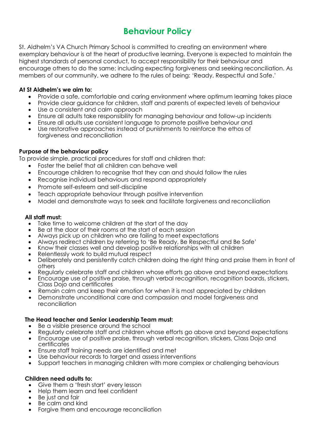# **Behaviour Policy**

St. Aldhelm's VA Church Primary School is committed to creating an environment where exemplary behaviour is at the heart of productive learning. Everyone is expected to maintain the highest standards of personal conduct, to accept responsibility for their behaviour and encourage others to do the same; including expecting forgiveness and seeking reconciliation. As members of our community, we adhere to the rules of being: 'Ready, Respectful and Safe.'

### **At St Aldhelm's we aim to:**

- Provide a safe, comfortable and caring environment where optimum learning takes place
- Provide clear guidance for children, staff and parents of expected levels of behaviour
- Use a consistent and calm approach
- Ensure all adults take responsibility for managing behaviour and follow-up incidents
- Ensure all adults use consistent language to promote positive behaviour and
- Use restorative approaches instead of punishments to reinforce the ethos of forgiveness and reconciliation

#### **Purpose of the behaviour policy**

To provide simple, practical procedures for staff and children that:

- Foster the belief that all children can behave well
- Encourage children to recognise that they can and should follow the rules
- Recognise individual behaviours and respond appropriately
- Promote self-esteem and self-discipline
- Teach appropriate behaviour through positive intervention
- Model and demonstrate ways to seek and facilitate forgiveness and reconciliation

#### **All staff must:**

- Take time to welcome children at the start of the day
- Be at the door of their rooms at the start of each session
- Always pick up on children who are failing to meet expectations
- Always redirect children by referring to 'Be Ready, Be Respectful and Be Safe'
- Know their classes well and develop positive relationships with all children
- Relentlessly work to build mutual respect
- Deliberately and persistently catch children doing the right thing and praise them in front of others
- Regularly celebrate staff and children whose efforts go above and beyond expectations
- Encourage use of positive praise, through verbal recognition, recognition boards, stickers, Class Dojo and certificates
- Remain calm and keep their emotion for when it is most appreciated by children
- Demonstrate unconditional care and compassion and model forgiveness and reconciliation

#### **The Head teacher and Senior Leadership Team must:**

- Be a visible presence around the school
- Regularly celebrate staff and children whose efforts go above and beyond expectations
- Encourage use of positive praise, through verbal recognition, stickers, Class Dojo and certificates
- Ensure staff training needs are identified and met
- Use behaviour records to target and assess interventions
- Support teachers in managing children with more complex or challenging behaviours

#### **Children need adults to:**

- Give them a 'fresh start' every lesson
- Help them learn and feel confident
- Be just and fair
- Be calm and kind
- Forgive them and encourage reconciliation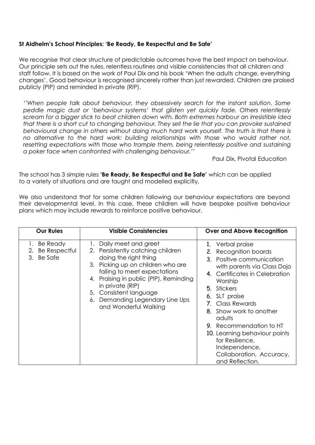#### **St Aldhelm's School Principles: 'Be Ready, Be Respectful and Be Safe'**

We recognise that clear structure of predictable outcomes have the best impact on behaviour. Our principle sets out the rules, relentless routines and visible consistencies that all children and staff follow. It is based on the work of Paul Dix and his book 'When the adults change, everything changes'. Good behaviour is recognised sincerely rather than just rewarded. Children are praised publicly (PIP) and reminded in private (RIP).

*''When people talk about behaviour, they obsessively search for the instant solution. Some peddle magic dust or 'behaviour systems' that glisten yet quickly fade. Others relentlessly scream for a bigger stick to beat children down with. Both extremes harbour an irresistible idea that there is a short cut to changing behaviour. They sell the lie that you can provoke sustained behavioural change in others without doing much hard work yourself. The truth is that there is no alternative to the hard work: building relationships with those who would rather not,*  resetting expectations with those who trample them, being relentlessly positive and sustaining *a poker face when confronted with challenging behaviour.''*

Paul Dix, Pivotal Education

The school has 3 simple rules **'Be Ready, Be Respectful and Be Safe'** which can be applied to a variety of situations and are taught and modelled explicitly.

We also understand that for some children following our behaviour expectations are beyond their developmental level. In this case, these children will have bespoke positive behaviour plans which may include rewards to reinforce positive behaviour.

| <b>Our Rules</b>                                           | <b>Visible Consistencies</b>                                                                                                                                                                                                                                                                                                | <b>Over and Above Recognition</b>                                                                                                                                                                                                                                                                                                                                                                 |
|------------------------------------------------------------|-----------------------------------------------------------------------------------------------------------------------------------------------------------------------------------------------------------------------------------------------------------------------------------------------------------------------------|---------------------------------------------------------------------------------------------------------------------------------------------------------------------------------------------------------------------------------------------------------------------------------------------------------------------------------------------------------------------------------------------------|
| Be Ready<br>$\mathbf{L}$<br>2. Be Respectful<br>3. Be Safe | Daily meet and greet<br>$\mathbf{L}$<br>2. Persistently catching children<br>doing the right thing<br>3. Picking up on children who are<br>failing to meet expectations<br>4. Praising in public (PIP), Reminding<br>in private (RIP)<br>5. Consistent language<br>6. Demanding Legendary Line Ups<br>and Wonderful Walking | 1. Verbal praise<br>2. Recognition boards<br>3. Positive communication<br>with parents via Class Dojo<br>4. Certificates in Celebration<br>Worship<br>5. Stickers<br>6. SLT praise<br>7. Class Rewards<br>8. Show work to another<br>adults<br><b>9.</b> Recommendation to HT<br>10. Learning behaviour points<br>for Resilience,<br>Independence,<br>Collaboration, Accuracy,<br>and Reflection. |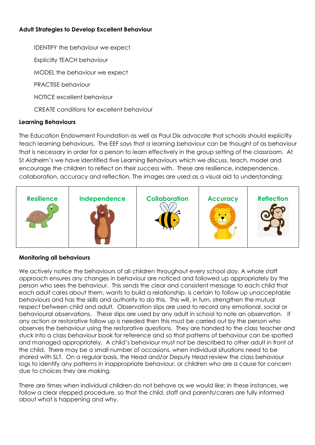# **Adult Strategies to Develop Excellent Behaviour**

IDENTIFY the behaviour we expect

Explicitly TEACH behaviour

MODEL the behaviour we expect

PRACTISE behaviour

NOTICE excellent behaviour

CREATE conditions for excellent behaviour

## **Learning Behaviours**

The Education Endowment Foundation as well as Paul Dix advocate that schools should explicitly teach learning behaviours. The EEF says that a learning behaviour can be thought of as behaviour that is necessary in order for a person to learn effectively in the group setting of the classroom. At St Aldhelm's we have identified five Learning Behaviours which we discuss, teach, model and encourage the children to reflect on their success with. These are resilience, independence, collaboration, accuracy and reflection. The images are used as a visual aid to understanding:



#### **Monitoring all behaviours**

We actively notice the behaviours of all children throughout every school day. A whole staff approach ensures any changes in behaviour are noticed and followed up appropriately by the person who sees the behaviour. This sends the clear and consistent message to each child that each adult cares about them, wants to build a relationship, is certain to follow up unacceptable behaviours and has the skills and authority to do this. This will, in turn, strengthen the mutual respect between child and adult. Observation slips are used to record any emotional, social or behavioural observations. These slips are used by any adult in school to note an observation. If any action or restorative follow up is needed then this must be carried out by the person who observes the behaviour using the restorative questions. They are handed to the class teacher and stuck into a class behaviour book for reference and so that patterns of behaviour can be spotted and managed appropriately. A child's behaviour must not be described to other adult in front of the child. There may be a small number of occasions, when individual situations need to be shared with SLT. On a regular basis, the Head and/or Deputy Head review the class behaviour logs to identify any patterns in inappropriate behaviour, or children who are a cause for concern due to choices they are making.

There are times when individual children do not behave as we would like; in these instances, we follow a clear stepped procedure, so that the child, staff and parents/carers are fully informed about what is happening and why.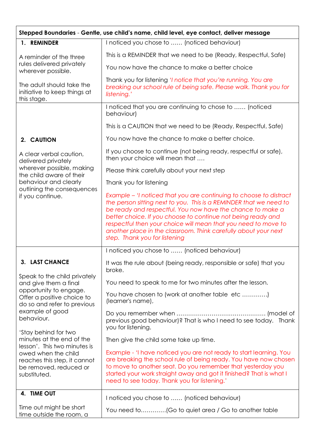| Stepped Boundaries - Gentle, use child's name, child level, eye contact, deliver message                                      |                                                                                                                                                                                                                                                                                                                                                                                                                                              |  |  |
|-------------------------------------------------------------------------------------------------------------------------------|----------------------------------------------------------------------------------------------------------------------------------------------------------------------------------------------------------------------------------------------------------------------------------------------------------------------------------------------------------------------------------------------------------------------------------------------|--|--|
| 1. REMINDER                                                                                                                   | I noticed you chose to  (noticed behaviour)                                                                                                                                                                                                                                                                                                                                                                                                  |  |  |
| A reminder of the three<br>rules delivered privately<br>wherever possible.                                                    | This is a REMINDER that we need to be (Ready, Respectful, Safe)                                                                                                                                                                                                                                                                                                                                                                              |  |  |
|                                                                                                                               | You now have the chance to make a better choice                                                                                                                                                                                                                                                                                                                                                                                              |  |  |
| The adult should take the<br>initiative to keep things at<br>this stage.                                                      | Thank you for listening 'I notice that you're running. You are<br>breaking our school rule of being safe. Please walk. Thank you for<br>listening.'                                                                                                                                                                                                                                                                                          |  |  |
|                                                                                                                               | I noticed that you are continuing to chose to  (noticed<br>behaviour)                                                                                                                                                                                                                                                                                                                                                                        |  |  |
|                                                                                                                               | This is a CAUTION that we need to be (Ready, Respectful, Safe)                                                                                                                                                                                                                                                                                                                                                                               |  |  |
| 2. CAUTION                                                                                                                    | You now have the chance to make a better choice.                                                                                                                                                                                                                                                                                                                                                                                             |  |  |
| A clear verbal caution,<br>delivered privately                                                                                | If you choose to continue (not being ready, respectful or safe),<br>then your choice will mean that                                                                                                                                                                                                                                                                                                                                          |  |  |
| wherever possible, making<br>the child aware of their                                                                         | Please think carefully about your next step                                                                                                                                                                                                                                                                                                                                                                                                  |  |  |
| behaviour and clearly                                                                                                         | Thank you for listening                                                                                                                                                                                                                                                                                                                                                                                                                      |  |  |
| outlining the consequences<br>if you continue.                                                                                | Example – 'I noticed that you are continuing to choose to distract<br>the person sitting next to you. This is a REMINDER that we need to<br>be ready and respectful. You now have the chance to make a<br>better choice. If you choose to continue not being ready and<br>respectful then your choice will mean that you need to move to<br>another place in the classroom. Think carefully about your next<br>step. Thank you for listening |  |  |
|                                                                                                                               | I noticed you chose to  (noticed behaviour)                                                                                                                                                                                                                                                                                                                                                                                                  |  |  |
| <b>LAST CHANCE</b>                                                                                                            | It was the rule about (being ready, responsible or safe) that you<br>broke.                                                                                                                                                                                                                                                                                                                                                                  |  |  |
| Speak to the child privately<br>and give them a final                                                                         | You need to speak to me for two minutes after the lesson.                                                                                                                                                                                                                                                                                                                                                                                    |  |  |
| opportunity to engage.<br>Offer a positive choice to<br>do so and refer to previous<br>example of good<br>behaviour.          | You have chosen to (work at another table etc )<br>(learner's name),                                                                                                                                                                                                                                                                                                                                                                         |  |  |
|                                                                                                                               | previous good behaviour)? That is who I need to see today. Thank<br>you for listening.                                                                                                                                                                                                                                                                                                                                                       |  |  |
| 'Stay behind for two<br>minutes at the end of the                                                                             | Then give the child some take up time.                                                                                                                                                                                                                                                                                                                                                                                                       |  |  |
| lesson'. This two minutes is<br>owed when the child<br>reaches this step, it cannot<br>be removed, reduced or<br>substituted. | Example - 'I have noticed you are not ready to start learning. You<br>are breaking the school rule of being ready. You have now chosen<br>to move to another seat. Do you remember that yesterday you<br>started your work straight away and got it finished? That is what I<br>need to see today. Thank you for listening.'                                                                                                                 |  |  |
| 4. TIME OUT                                                                                                                   | I noticed you chose to  (noticed behaviour)                                                                                                                                                                                                                                                                                                                                                                                                  |  |  |
| Time out might be short<br>time outside the room, a                                                                           |                                                                                                                                                                                                                                                                                                                                                                                                                                              |  |  |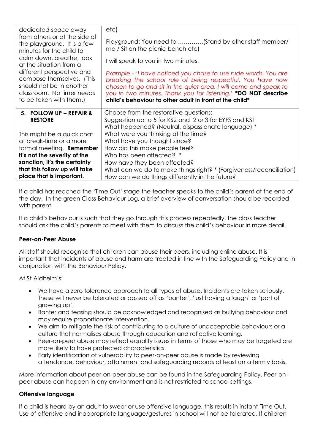| dedicated space away                                                                                                                       | etc)                                                                                                                                                                                                                                                                                                                          |
|--------------------------------------------------------------------------------------------------------------------------------------------|-------------------------------------------------------------------------------------------------------------------------------------------------------------------------------------------------------------------------------------------------------------------------------------------------------------------------------|
| from others or at the side of<br>the playground. It is a few<br>minutes for the child to                                                   | Playground: You need to (Stand by other staff member/<br>me / Sit on the picnic bench etc)                                                                                                                                                                                                                                    |
| calm down, breathe, look<br>at the situation from a                                                                                        | I will speak to you in two minutes.                                                                                                                                                                                                                                                                                           |
| different perspective and<br>compose themselves. (This<br>should not be in another<br>classroom. No timer needs<br>to be taken with them.) | Example - 'I have noticed you chose to use rude words. You are<br>breaking the school rule of being respectful. You have now<br>chosen to go and sit in the quiet area. I will come and speak to<br>you in two minutes. Thank you for listening.' *DO NOT describe<br>child's behaviour to other adult in front of the child* |
| 5. FOLLOW UP - REPAIR &                                                                                                                    | Choose from the restorative questions:                                                                                                                                                                                                                                                                                        |
| <b>RESTORE</b>                                                                                                                             | Suggestion up to 5 for KS2 and 2 or 3 for EYFS and KS1                                                                                                                                                                                                                                                                        |
|                                                                                                                                            | What happened? (Neutral, dispassionate language) *                                                                                                                                                                                                                                                                            |
| This might be a quick chat                                                                                                                 | What were you thinking at the time?                                                                                                                                                                                                                                                                                           |
| at break-time or a more                                                                                                                    | What have you thought since?                                                                                                                                                                                                                                                                                                  |
| formal meeting. <b>Remember</b>                                                                                                            | How did this make people feel?                                                                                                                                                                                                                                                                                                |
| it's not the severity of the                                                                                                               | Who has been affected? *                                                                                                                                                                                                                                                                                                      |
| sanction, it's the certainty                                                                                                               | How have they been affected?                                                                                                                                                                                                                                                                                                  |
| that this follow up will take                                                                                                              | What can we do to make things right? * (Forgiveness/reconciliation)                                                                                                                                                                                                                                                           |
| place that is important.                                                                                                                   | How can we do things differently in the future?                                                                                                                                                                                                                                                                               |

If a child has reached the 'Time Out' stage the teacher speaks to the child's parent at the end of the day. In the green Class Behaviour Log, a brief overview of conversation should be recorded with parent.

If a child's behaviour is such that they go through this process repeatedly, the class teacher should ask the child's parents to meet with them to discuss the child's behaviour in more detail.

#### **Peer-on-Peer Abuse**

All staff should recognise that children can abuse their peers, including online abuse. It is important that incidents of abuse and harm are treated in line with the Safeguarding Policy and in conjunction with the Behaviour Policy.

At St Aldhelm's:

- We have a zero tolerance approach to all types of abuse. Incidents are taken seriously. These will never be tolerated or passed off as 'banter', 'just having a laugh' or 'part of growing up'.
- Banter and teasing should be acknowledged and recognised as bullying behaviour and may require proportionate intervention.
- We aim to mitigate the risk of contributing to a culture of unacceptable behaviours or a culture that normalises abuse through education and reflective learning.
- Peer-on-peer abuse may reflect equality issues in terms of those who may be targeted are more likely to have protected characteristics.
- Early identification of vulnerability to peer-on-peer abuse is made by reviewing attendance, behaviour, attainment and safeguarding records at least on a termly basis.

More information about peer-on-peer abuse can be found in the Safeguarding Policy. Peer-onpeer abuse can happen in any environment and is not restricted to school settings.

#### **Offensive language**

If a child is heard by an adult to swear or use offensive language, this results in instant Time Out. Use of offensive and inappropriate language/gestures in school will not be tolerated. If children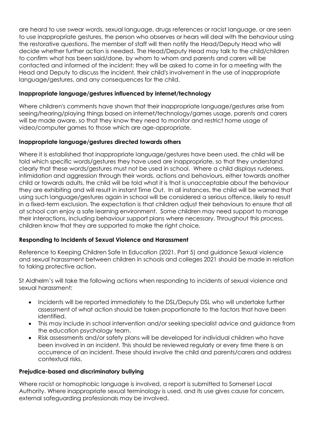are heard to use swear words, sexual language, drugs references or racist language, or are seen to use inappropriate gestures, the person who observes or hears will deal with the behaviour using the restorative questions. The member of staff will then notify the Head/Deputy Head who will decide whether further action is needed. The Head/Deputy Head may talk to the child/children to confirm what has been said/done, by whom to whom and parents and carers will be contacted and informed of the incident: they will be asked to come in for a meeting with the Head and Deputy to discuss the incident, their child's involvement in the use of inappropriate language/gestures, and any consequences for the child.

## **Inappropriate language/gestures influenced by internet/technology**

Where children's comments have shown that their inappropriate language/gestures arise from seeing/hearing/playing things based on internet/technology/games usage, parents and carers will be made aware, so that they know they need to monitor and restrict home usage of video/computer games to those which are age-appropriate.

#### **Inappropriate language/gestures directed towards others**

Where it is established that inappropriate language/gestures have been used, the child will be told which specific words/gestures they have used are inappropriate, so that they understand clearly that these words/gestures must not be used in school. Where a child displays rudeness, intimidation and aggression through their words, actions and behaviours, either towards another child or towards adults, the child will be told what it is that is unacceptable about the behaviour they are exhibiting and will result in instant Time Out. In all instances, the child will be warned that using such language/gestures again in school will be considered a serious offence, likely to result in a fixed-term exclusion. The expectation is that children adjust their behaviours to ensure that all at school can enjoy a safe learning environment. Some children may need support to manage their interactions, including behaviour support plans where necessary. Throughout this process, children know that they are supported to make the right choice.

#### **Responding to Incidents of Sexual Violence and Harassment**

Reference to Keeping Children Safe In Education (2021, Part 5) and guidance Sexual violence and sexual harassment between children in schools and colleges 2021 should be made in relation to taking protective action.

St Aldhelm's will take the following actions when responding to incidents of sexual violence and sexual harassment:

- Incidents will be reported immediately to the DSL/Deputy DSL who will undertake further assessment of what action should be taken proportionate to the factors that have been identified.
- This may include in school intervention and/or seeking specialist advice and guidance from the education psychology team.
- Risk assessments and/or safety plans will be developed for individual children who have been involved in an incident. This should be reviewed regularly or every time there is an occurrence of an incident. These should involve the child and parents/carers and address contextual risks.

#### **Prejudice-based and discriminatory bullying**

Where racist or homophobic language is involved, a report is submitted to Somerset Local Authority. Where inappropriate sexual terminology is used, and its use gives cause for concern, external safeguarding professionals may be involved.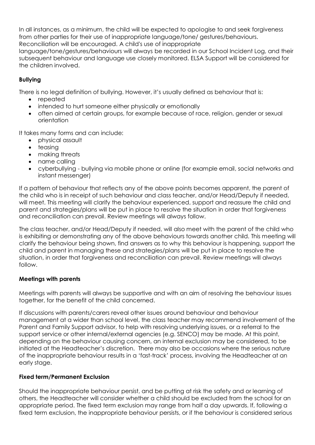In all instances, as a minimum, the child will be expected to apologise to and seek forgiveness from other parties for their use of inappropriate language/tone/ gestures/behaviours. Reconciliation will be encouraged. A child's use of inappropriate

language/tone/gestures/behaviours will always be recorded in our School Incident Log, and their subsequent behaviour and language use closely monitored. ELSA Support will be considered for the children involved.

# **Bullying**

There is no legal definition of bullying. However, it's usually defined as behaviour that is:

- repeated
- intended to hurt someone either physically or emotionally
- often aimed at certain groups, for example because of race, religion, gender or sexual orientation

It takes many forms and can include:

- physical assault
- teasing
- making threats
- name calling
- cyberbullying bullying via mobile phone or online (for example email, social networks and instant messenger)

If a pattern of behaviour that reflects any of the above points becomes apparent, the parent of the child who is in receipt of such behaviour and class teacher, and/or Head/Deputy if needed, will meet. This meeting will clarify the behaviour experienced, support and reassure the child and parent and strategies/plans will be put in place to resolve the situation in order that forgiveness and reconciliation can prevail. Review meetings will always follow.

The class teacher, and/or Head/Deputy if needed, will also meet with the parent of the child who is exhibiting or demonstrating any of the above behaviours towards another child. This meeting will clarify the behaviour being shown, find answers as to why this behaviour is happening, support the child and parent in managing these and strategies/plans will be put in place to resolve the situation, in order that forgiveness and reconciliation can prevail. Review meetings will always follow.

#### **Meetings with parents**

Meetings with parents will always be supportive and with an aim of resolving the behaviour issues together, for the benefit of the child concerned.

If discussions with parents/carers reveal other issues around behaviour and behaviour management at a wider than school level, the class teacher may recommend involvement of the Parent and Family Support advisor, to help with resolving underlying issues, or a referral to the support service or other internal/external agencies (e.g. SENCO) may be made. At this point, depending on the behaviour causing concern, an internal exclusion may be considered, to be initiated at the Headteacher's discretion. There may also be occasions where the serious nature of the inappropriate behaviour results in a 'fast-track' process, involving the Headteacher at an early stage.

#### **Fixed term/Permanent Exclusion**

Should the inappropriate behaviour persist, and be putting at risk the safety and or learning of others, the Headteacher will consider whether a child should be excluded from the school for an appropriate period. The fixed term exclusion may range from half a day upwards. If, following a fixed term exclusion, the inappropriate behaviour persists, or if the behaviour is considered serious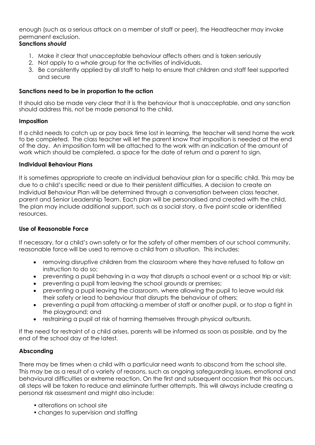enough (such as a serious attack on a member of staff or peer), the Headteacher may invoke permanent exclusion.

# **Sanctions** *should*

- 1. Make it clear that unacceptable behaviour affects others and is taken seriously
- 2. Not apply to a whole group for the activities of individuals.
- 3. Be consistently applied by all staff to help to ensure that children and staff feel supported and secure

## **Sanctions need to be in proportion to the action**

It should also be made very clear that it is the behaviour that is unacceptable, and any sanction should address this, not be made personal to the child.

## **Imposition**

If a child needs to catch up or pay back time lost in learning, the teacher will send home the work to be completed. The class teacher will let the parent know that imposition is needed at the end of the day. An imposition form will be attached to the work with an indication of the amount of work which should be completed, a space for the date of return and a parent to sign.

#### **Individual Behaviour Plans**

It is sometimes appropriate to create an individual behaviour plan for a specific child. This may be due to a child's specific need or due to their persistent difficulties. A decision to create an Individual Behaviour Plan will be determined through a conversation between class teacher, parent and Senior Leadership Team. Each plan will be personalised and created with the child. The plan may include additional support, such as a social story, a five point scale or identified resources.

# **Use of Reasonable Force**

If necessary, for a child's own safety or for the safety of other members of our school community, reasonable force will be used to remove a child from a situation. This includes:

- removing disruptive children from the classroom where they have refused to follow an instruction to do so;
- preventing a pupil behaving in a way that disrupts a school event or a school trip or visit;
- preventing a pupil from leaving the school grounds or premises;
- preventing a pupil leaving the classroom, where allowing the pupil to leave would risk their safety or lead to behaviour that disrupts the behaviour of others;
- preventing a pupil from attacking a member of staff or another pupil, or to stop a fight in the playground; and
- restraining a pupil at risk of harming themselves through physical outbursts.

If the need for restraint of a child arises, parents will be informed as soon as possible, and by the end of the school day at the latest.

# **Absconding**

There may be times when a child with a particular need wants to abscond from the school site. This may be as a result of a variety of reasons, such as ongoing safeguarding issues, emotional and behavioural difficulties or extreme reaction. On the first and subsequent occasion that this occurs, all steps will be taken to reduce and eliminate further attempts. This will always include creating a personal risk assessment and might also include:

- alterations on school site
- changes to supervision and staffing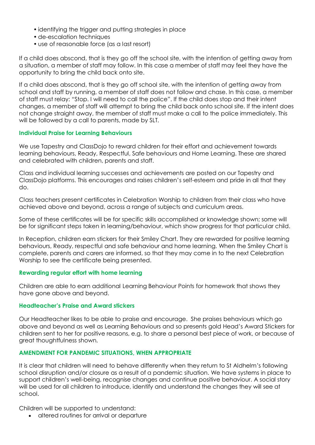- identifying the trigger and putting strategies in place
- de-escalation techniques
- use of reasonable force (as a last resort)

If a child does abscond, that is they go off the school site, with the intention of getting away from a situation, a member of staff may follow. In this case a member of staff may feel they have the opportunity to bring the child back onto site.

If a child does abscond, that is they go off school site, with the intention of getting away from school and staff by running, a member of staff does not follow and chase. In this case, a member of staff must relay: "Stop. I will need to call the police". If the child does stop and their intent changes, a member of staff will attempt to bring the child back onto school site. If the intent does not change straight away, the member of staff must make a call to the police immediately. This will be followed by a call to parents, made by SLT.

#### **Individual Praise for Learning Behaviours**

We use Tapestry and ClassDojo to reward children for their effort and achievement towards learning behaviours, Ready, Respectful, Safe behaviours and Home Learning. These are shared and celebrated with children, parents and staff.

Class and individual learning successes and achievements are posted on our Tapestry and ClassDojo platforms. This encourages and raises children's self-esteem and pride in all that they do.

Class teachers present certificates in Celebration Worship to children from their class who have achieved above and beyond, across a range of subjects and curriculum areas.

Some of these certificates will be for specific skills accomplished or knowledge shown; some will be for significant steps taken in learning/behaviour, which show progress for that particular child.

In Reception, children earn stickers for their Smiley Chart. They are rewarded for positive learning behaviours, Ready, respectful and safe behaviour and home learning. When the Smiley Chart is complete, parents and carers are informed, so that they may come in to the next Celebration Worship to see the certificate being presented.

#### **Rewarding regular effort with home learning**

Children are able to earn additional Learning Behaviour Points for homework that shows they have gone above and beyond.

#### **Headteacher's Praise and Award stickers**

Our Headteacher likes to be able to praise and encourage. She praises behaviours which go above and beyond as well as Learning Behaviours and so presents gold Head's Award Stickers for children sent to her for positive reasons, e.g. to share a personal best piece of work, or because of great thoughtfulness shown.

#### **AMENDMENT FOR PANDEMIC SITUATIONS, WHEN APPROPRIATE**

It is clear that children will need to behave differently when they return to St Aldhelm's following school disruption and/or closure as a result of a pandemic situation. We have systems in place to support children's well-being, recognise changes and continue positive behaviour. A social story will be used for all children to introduce, identify and understand the changes they will see at school.

Children will be supported to understand:

• altered routines for arrival or departure